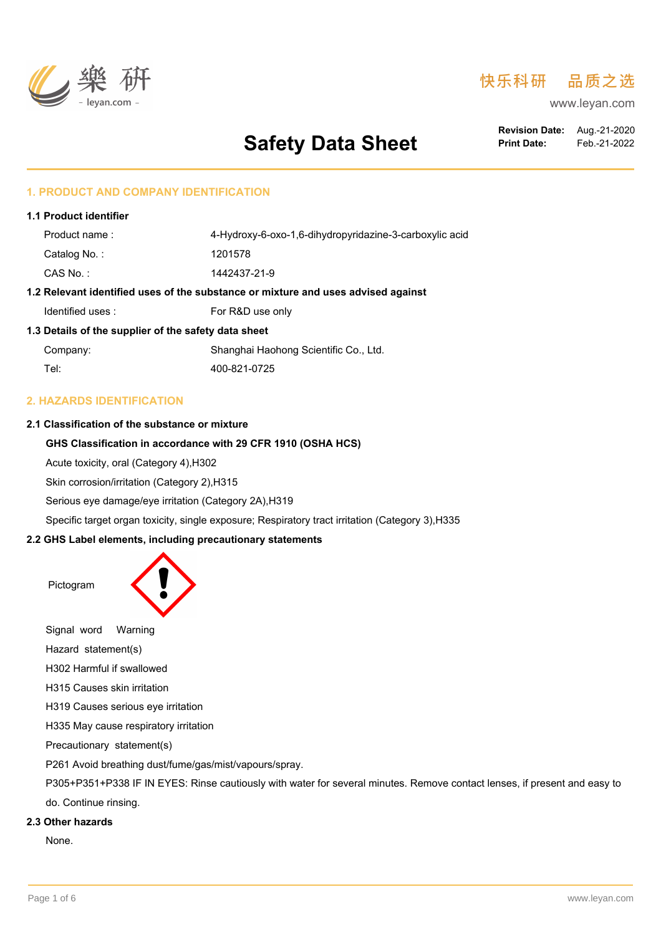

# 快乐科研 品质之选

www.leyan.com

# **Safety Data Sheet**

**Revision Date:** Aug.-21-2020 **Print Date:** Feb.-21-2022

# **1. PRODUCT AND COMPANY IDENTIFICATION**

| <b>1.1 Product identifier</b> |                                                                                   |
|-------------------------------|-----------------------------------------------------------------------------------|
| Product name:                 | 4-Hydroxy-6-oxo-1,6-dihydropyridazine-3-carboxylic acid                           |
| Catalog No.:                  | 1201578                                                                           |
| $CAS No.$ :                   | 1442437-21-9                                                                      |
|                               | 1.2 Relevant identified uses of the substance or mixture and uses advised against |
| Identified uses:              | For R&D use only                                                                  |
|                               |                                                                                   |

#### **1.3 Details of the supplier of the safety data sheet**

| Company: | Shanghai Haohong Scientific Co., Ltd. |
|----------|---------------------------------------|
| Tel:     | 400-821-0725                          |

# **2. HAZARDS IDENTIFICATION**

#### **2.1 Classification of the substance or mixture**

# **GHS Classification in accordance with 29 CFR 1910 (OSHA HCS)**

Acute toxicity, oral (Category 4),H302

Skin corrosion/irritation (Category 2),H315

Serious eye damage/eye irritation (Category 2A),H319

Specific target organ toxicity, single exposure; Respiratory tract irritation (Category 3),H335

#### **2.2 GHS Label elements, including precautionary statements**



H319 Causes serious eye irritation

H335 May cause respiratory irritation

Precautionary statement(s)

P261 Avoid breathing dust/fume/gas/mist/vapours/spray.

P305+P351+P338 IF IN EYES: Rinse cautiously with water for several minutes. Remove contact lenses, if present and easy to do. Continue rinsing.

#### **2.3 Other hazards**

None.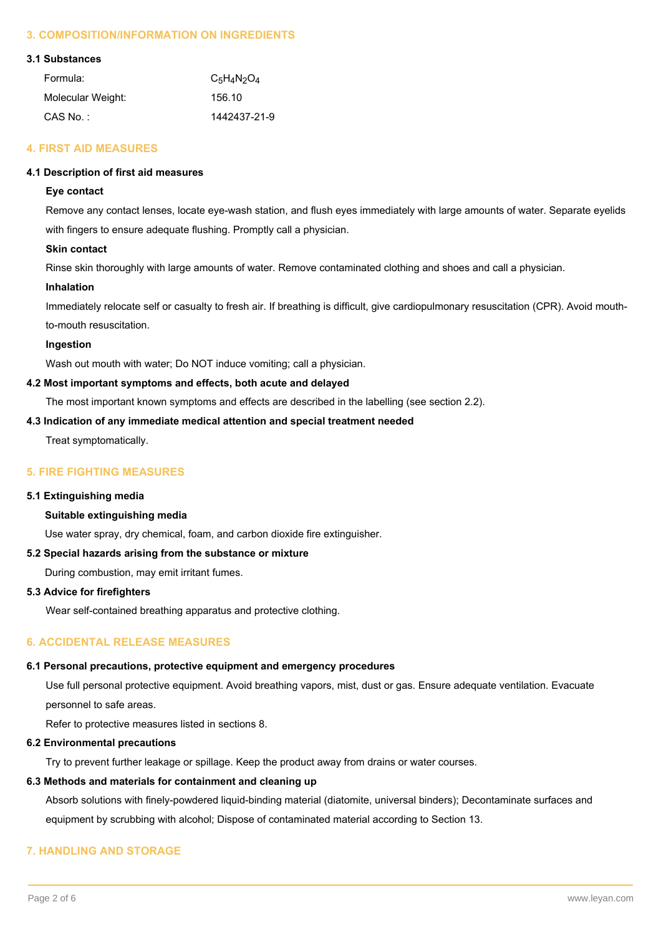# **3. COMPOSITION/INFORMATION ON INGREDIENTS**

#### **3.1 Substances**

| Formula:          | $C_5H_4N_2O_4$ |
|-------------------|----------------|
| Molecular Weight: | 156.10         |
| $CAS$ No.:        | 1442437-21-9   |

# **4. FIRST AID MEASURES**

# **4.1 Description of first aid measures**

# **Eye contact**

Remove any contact lenses, locate eye-wash station, and flush eyes immediately with large amounts of water. Separate eyelids with fingers to ensure adequate flushing. Promptly call a physician.

# **Skin contact**

Rinse skin thoroughly with large amounts of water. Remove contaminated clothing and shoes and call a physician.

#### **Inhalation**

Immediately relocate self or casualty to fresh air. If breathing is difficult, give cardiopulmonary resuscitation (CPR). Avoid mouthto-mouth resuscitation.

#### **Ingestion**

Wash out mouth with water; Do NOT induce vomiting; call a physician.

#### **4.2 Most important symptoms and effects, both acute and delayed**

The most important known symptoms and effects are described in the labelling (see section 2.2).

#### **4.3 Indication of any immediate medical attention and special treatment needed**

Treat symptomatically.

# **5. FIRE FIGHTING MEASURES**

#### **5.1 Extinguishing media**

#### **Suitable extinguishing media**

Use water spray, dry chemical, foam, and carbon dioxide fire extinguisher.

#### **5.2 Special hazards arising from the substance or mixture**

During combustion, may emit irritant fumes.

#### **5.3 Advice for firefighters**

Wear self-contained breathing apparatus and protective clothing.

# **6. ACCIDENTAL RELEASE MEASURES**

#### **6.1 Personal precautions, protective equipment and emergency procedures**

Use full personal protective equipment. Avoid breathing vapors, mist, dust or gas. Ensure adequate ventilation. Evacuate personnel to safe areas.

Refer to protective measures listed in sections 8.

#### **6.2 Environmental precautions**

Try to prevent further leakage or spillage. Keep the product away from drains or water courses.

#### **6.3 Methods and materials for containment and cleaning up**

Absorb solutions with finely-powdered liquid-binding material (diatomite, universal binders); Decontaminate surfaces and equipment by scrubbing with alcohol; Dispose of contaminated material according to Section 13.

# **7. HANDLING AND STORAGE**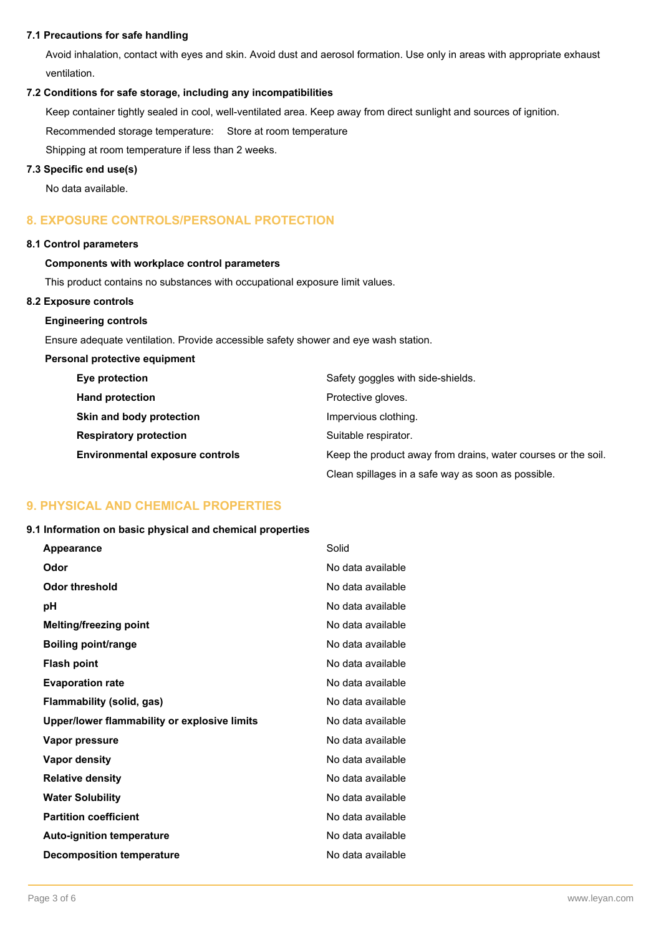#### **7.1 Precautions for safe handling**

Avoid inhalation, contact with eyes and skin. Avoid dust and aerosol formation. Use only in areas with appropriate exhaust ventilation.

#### **7.2 Conditions for safe storage, including any incompatibilities**

Keep container tightly sealed in cool, well-ventilated area. Keep away from direct sunlight and sources of ignition.

Recommended storage temperature: Store at room temperature

Shipping at room temperature if less than 2 weeks.

#### **7.3 Specific end use(s)**

No data available.

# **8. EXPOSURE CONTROLS/PERSONAL PROTECTION**

#### **8.1 Control parameters**

# **Components with workplace control parameters**

This product contains no substances with occupational exposure limit values.

#### **8.2 Exposure controls**

#### **Engineering controls**

Ensure adequate ventilation. Provide accessible safety shower and eye wash station.

#### **Personal protective equipment**

| Eye protection                         | Safety goggles with side-shields.                             |
|----------------------------------------|---------------------------------------------------------------|
| <b>Hand protection</b>                 | Protective gloves.                                            |
| Skin and body protection               | Impervious clothing.                                          |
| <b>Respiratory protection</b>          | Suitable respirator.                                          |
| <b>Environmental exposure controls</b> | Keep the product away from drains, water courses or the soil. |
|                                        | Clean spillages in a safe way as soon as possible.            |

# **9. PHYSICAL AND CHEMICAL PROPERTIES**

#### **9.1 Information on basic physical and chemical properties**

| Appearance                                   | Solid             |
|----------------------------------------------|-------------------|
| Odor                                         | No data available |
| Odor threshold                               | No data available |
| рH                                           | No data available |
| <b>Melting/freezing point</b>                | No data available |
| <b>Boiling point/range</b>                   | No data available |
| Flash point                                  | No data available |
| <b>Evaporation rate</b>                      | No data available |
| Flammability (solid, gas)                    | No data available |
| Upper/lower flammability or explosive limits | No data available |
| Vapor pressure                               | No data available |
| Vapor density                                | No data available |
| <b>Relative density</b>                      | No data available |
| <b>Water Solubility</b>                      | No data available |
| <b>Partition coefficient</b>                 | No data available |
| <b>Auto-ignition temperature</b>             | No data available |
| <b>Decomposition temperature</b>             | No data available |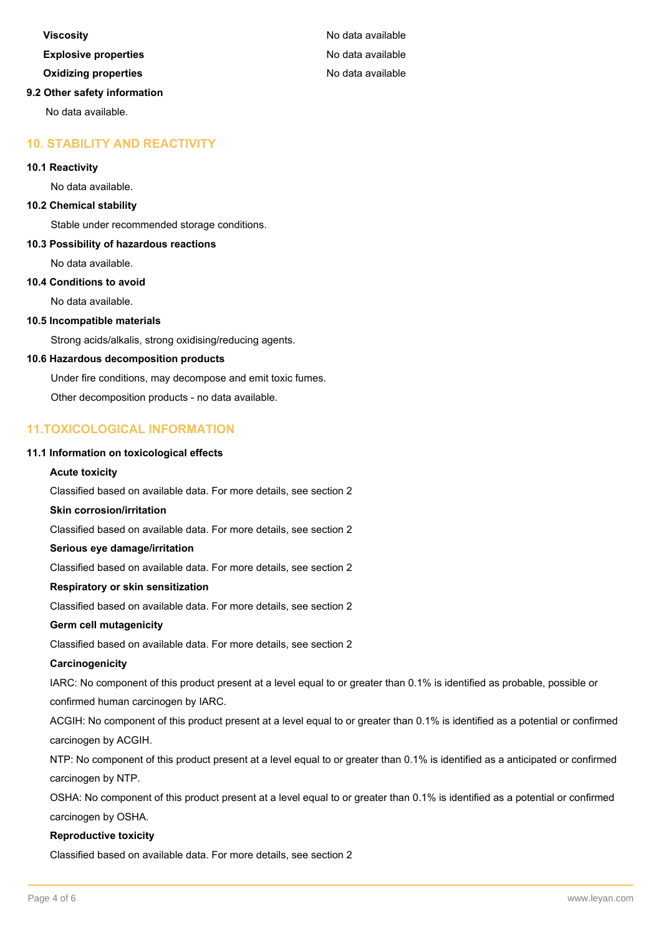# **Viscosity Viscosity No data available Explosive properties Explosive properties No data available Oxidizing properties** No data available **9.2 Other safety information** No data available.

# **10. STABILITY AND REACTIVITY**

#### **10.1 Reactivity**

No data available.

#### **10.2 Chemical stability**

Stable under recommended storage conditions.

#### **10.3 Possibility of hazardous reactions**

No data available.

#### **10.4 Conditions to avoid**

No data available.

#### **10.5 Incompatible materials**

Strong acids/alkalis, strong oxidising/reducing agents.

#### **10.6 Hazardous decomposition products**

Under fire conditions, may decompose and emit toxic fumes.

Other decomposition products - no data available.

# **11.TOXICOLOGICAL INFORMATION**

#### **11.1 Information on toxicological effects**

#### **Acute toxicity**

Classified based on available data. For more details, see section 2

#### **Skin corrosion/irritation**

Classified based on available data. For more details, see section 2

#### **Serious eye damage/irritation**

Classified based on available data. For more details, see section 2

#### **Respiratory or skin sensitization**

Classified based on available data. For more details, see section 2

#### **Germ cell mutagenicity**

Classified based on available data. For more details, see section 2

#### **Carcinogenicity**

IARC: No component of this product present at a level equal to or greater than 0.1% is identified as probable, possible or confirmed human carcinogen by IARC.

ACGIH: No component of this product present at a level equal to or greater than 0.1% is identified as a potential or confirmed carcinogen by ACGIH.

NTP: No component of this product present at a level equal to or greater than 0.1% is identified as a anticipated or confirmed carcinogen by NTP.

OSHA: No component of this product present at a level equal to or greater than 0.1% is identified as a potential or confirmed carcinogen by OSHA.

#### **Reproductive toxicity**

Classified based on available data. For more details, see section 2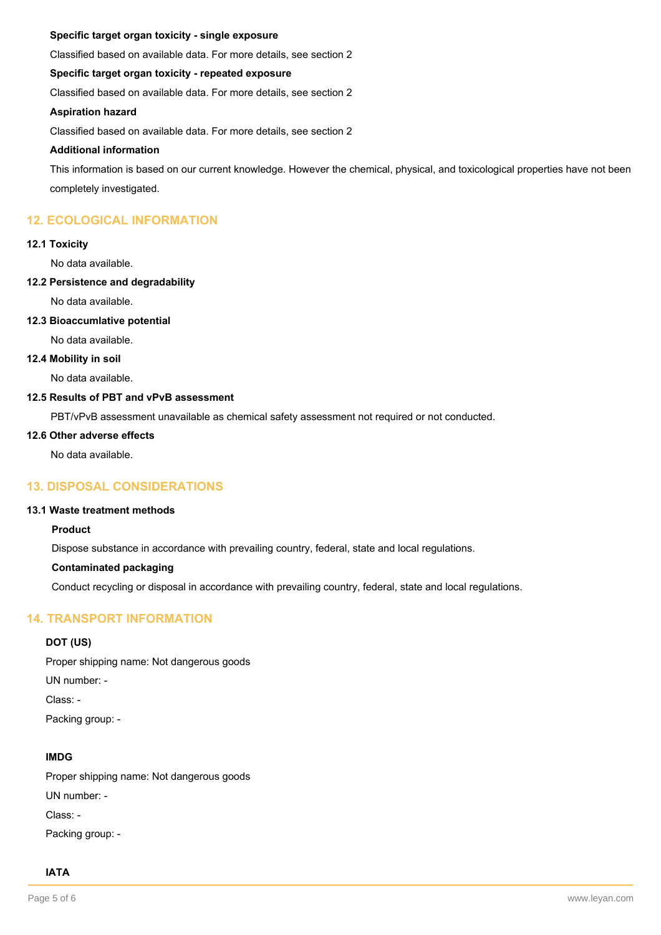#### **Specific target organ toxicity - single exposure**

Classified based on available data. For more details, see section 2

#### **Specific target organ toxicity - repeated exposure**

Classified based on available data. For more details, see section 2

#### **Aspiration hazard**

Classified based on available data. For more details, see section 2

#### **Additional information**

This information is based on our current knowledge. However the chemical, physical, and toxicological properties have not been completely investigated.

# **12. ECOLOGICAL INFORMATION**

#### **12.1 Toxicity**

No data available.

#### **12.2 Persistence and degradability**

No data available.

#### **12.3 Bioaccumlative potential**

No data available.

#### **12.4 Mobility in soil**

No data available.

# **12.5 Results of PBT and vPvB assessment**

PBT/vPvB assessment unavailable as chemical safety assessment not required or not conducted.

#### **12.6 Other adverse effects**

No data available.

# **13. DISPOSAL CONSIDERATIONS**

# **13.1 Waste treatment methods**

#### **Product**

Dispose substance in accordance with prevailing country, federal, state and local regulations.

#### **Contaminated packaging**

Conduct recycling or disposal in accordance with prevailing country, federal, state and local regulations.

# **14. TRANSPORT INFORMATION**

#### **DOT (US)**

Proper shipping name: Not dangerous goods UN number: - Class: -

Packing group: -

#### **IMDG**

Proper shipping name: Not dangerous goods UN number: - Class: - Packing group: -

#### **IATA**